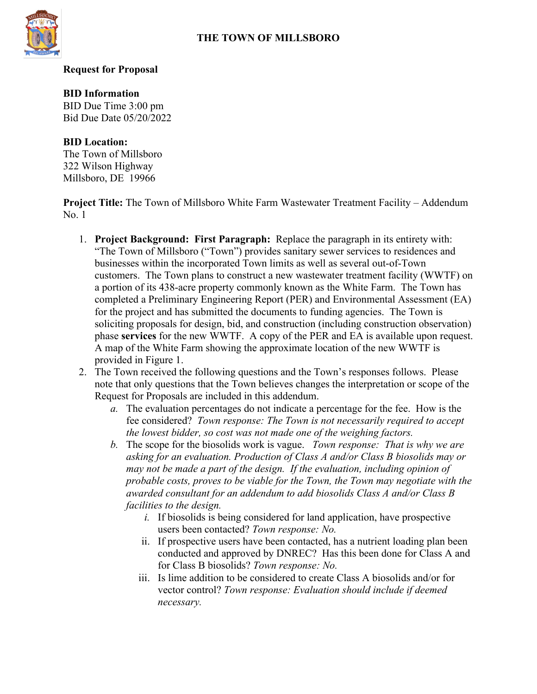## **THE TOWN OF MILLSBORO**



#### **Request for Proposal**

#### **BID Information**

BID Due Time 3:00 pm Bid Due Date 05/20/2022

### **BID Location:**

The Town of Millsboro 322 Wilson Highway Millsboro, DE 19966

**Project Title:** The Town of Millsboro White Farm Wastewater Treatment Facility – Addendum No. 1

- 1. **Project Background: First Paragraph:** Replace the paragraph in its entirety with: "The Town of Millsboro ("Town") provides sanitary sewer services to residences and businesses within the incorporated Town limits as well as several out-of-Town customers. The Town plans to construct a new wastewater treatment facility (WWTF) on a portion of its 438-acre property commonly known as the White Farm. The Town has completed a Preliminary Engineering Report (PER) and Environmental Assessment (EA) for the project and has submitted the documents to funding agencies. The Town is soliciting proposals for design, bid, and construction (including construction observation) phase **services** for the new WWTF. A copy of the PER and EA is available upon request. A map of the White Farm showing the approximate location of the new WWTF is provided in Figure 1.
- 2. The Town received the following questions and the Town's responses follows. Please note that only questions that the Town believes changes the interpretation or scope of the Request for Proposals are included in this addendum.
	- *a.* The evaluation percentages do not indicate a percentage for the fee. How is the fee considered? *Town response: The Town is not necessarily required to accept the lowest bidder, so cost was not made one of the weighing factors.*
	- *b.* The scope for the biosolids work is vague. *Town response: That is why we are asking for an evaluation. Production of Class A and/or Class B biosolids may or may not be made a part of the design. If the evaluation, including opinion of probable costs, proves to be viable for the Town, the Town may negotiate with the awarded consultant for an addendum to add biosolids Class A and/or Class B facilities to the design.*
		- *i.* If biosolids is being considered for land application, have prospective users been contacted? *Town response: No.*
		- ii. If prospective users have been contacted, has a nutrient loading plan been conducted and approved by DNREC? Has this been done for Class A and for Class B biosolids? *Town response: No.*
		- iii. Is lime addition to be considered to create Class A biosolids and/or for vector control? *Town response: Evaluation should include if deemed necessary.*